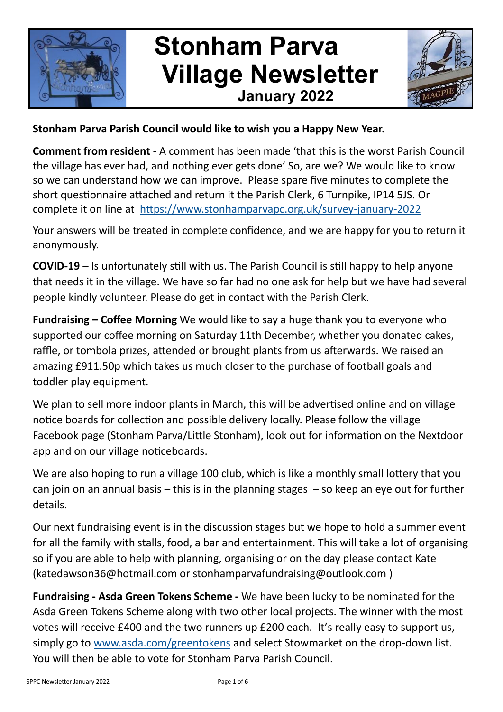

# **Stonham Parva Village Newsletter January 2022**



#### **Stonham Parva Parish Council would like to wish you a Happy New Year.**

**Comment from resident** - A comment has been made 'that this is the worst Parish Council the village has ever had, and nothing ever gets done' So, are we? We would like to know so we can understand how we can improve. Please spare five minutes to complete the short questionnaire attached and return it the Parish Clerk, 6 Turnpike, IP14 5JS. Or complete it on line at [https://www.stonhamparvapc.org.uk/survey](https://www.stonhamparvapc.org.uk/survey-january-2022)-january-2022

Your answers will be treated in complete confidence, and we are happy for you to return it anonymously.

**COVID-19** – Is unfortunately still with us. The Parish Council is still happy to help anyone that needs it in the village. We have so far had no one ask for help but we have had several people kindly volunteer. Please do get in contact with the Parish Clerk.

**Fundraising – Coffee Morning** We would like to say a huge thank you to everyone who supported our coffee morning on Saturday 11th December, whether you donated cakes, raffle, or tombola prizes, attended or brought plants from us afterwards. We raised an amazing £911.50p which takes us much closer to the purchase of football goals and toddler play equipment.

We plan to sell more indoor plants in March, this will be advertised online and on village notice boards for collection and possible delivery locally. Please follow the village Facebook page (Stonham Parva/Little Stonham), look out for information on the Nextdoor app and on our village noticeboards.

We are also hoping to run a village 100 club, which is like a monthly small lottery that you can join on an annual basis  $-$  this is in the planning stages  $-$  so keep an eye out for further details.

Our next fundraising event is in the discussion stages but we hope to hold a summer event for all the family with stalls, food, a bar and entertainment. This will take a lot of organising so if you are able to help with planning, organising or on the day please contact Kate (katedawson36@hotmail.com or stonhamparvafundraising@outlook.com )

**Fundraising - Asda Green Tokens Scheme -** We have been lucky to be nominated for the Asda Green Tokens Scheme along with two other local projects. The winner with the most votes will receive £400 and the two runners up £200 each. It's really easy to support us, simply go to [www.asda.com/greentokens](http://www.asda.com/greentokens) and select Stowmarket on the drop-down list. You will then be able to vote for Stonham Parva Parish Council.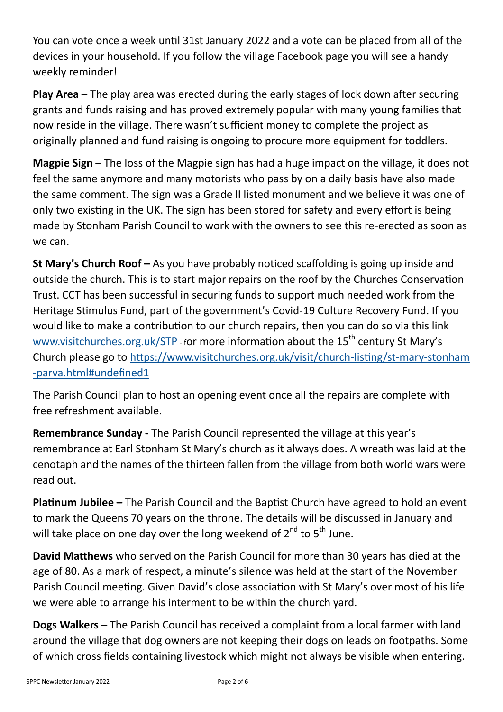You can vote once a week until 31st January 2022 and a vote can be placed from all of the devices in your household. If you follow the village Facebook page you will see a handy weekly reminder!

**Play Area** – The play area was erected during the early stages of lock down after securing grants and funds raising and has proved extremely popular with many young families that now reside in the village. There wasn't sufficient money to complete the project as originally planned and fund raising is ongoing to procure more equipment for toddlers.

**Magpie Sign** – The loss of the Magpie sign has had a huge impact on the village, it does not feel the same anymore and many motorists who pass by on a daily basis have also made the same comment. The sign was a Grade II listed monument and we believe it was one of only two existing in the UK. The sign has been stored for safety and every effort is being made by Stonham Parish Council to work with the owners to see this re-erected as soon as we can.

**St Mary's Church Roof –** As you have probably noticed scaffolding is going up inside and outside the church. This is to start major repairs on the roof by the Churches Conservation Trust. CCT has been successful in securing funds to support much needed work from the Heritage Stimulus Fund, part of the government's Covid-19 Culture Recovery Fund. If you would like to make a contribution to our church repairs, then you can do so via this link [www.visitchurches.org.uk/STP](http://www.visitchurches.org.uk/STP) - for more information about the 15<sup>th</sup> century St Mary's Church please go to [https://www.visitchurches.org.uk/visit/church](https://www.visitchurches.org.uk/visit/church-listing/st-mary-stonham-parva.html#undefined1)-listing/st-mary-stonham -[parva.html#undefined1](https://www.visitchurches.org.uk/visit/church-listing/st-mary-stonham-parva.html#undefined1)

The Parish Council plan to host an opening event once all the repairs are complete with free refreshment available.

**Remembrance Sunday -** The Parish Council represented the village at this year's remembrance at Earl Stonham St Mary's church as it always does. A wreath was laid at the cenotaph and the names of the thirteen fallen from the village from both world wars were read out.

**Platinum Jubilee –** The Parish Council and the Baptist Church have agreed to hold an event to mark the Queens 70 years on the throne. The details will be discussed in January and will take place on one day over the long weekend of  $2^{nd}$  to  $5^{th}$  June.

**David Matthews** who served on the Parish Council for more than 30 years has died at the age of 80. As a mark of respect, a minute's silence was held at the start of the November Parish Council meeting. Given David's close association with St Mary's over most of his life we were able to arrange his interment to be within the church yard.

**Dogs Walkers** – The Parish Council has received a complaint from a local farmer with land around the village that dog owners are not keeping their dogs on leads on footpaths. Some of which cross fields containing livestock which might not always be visible when entering.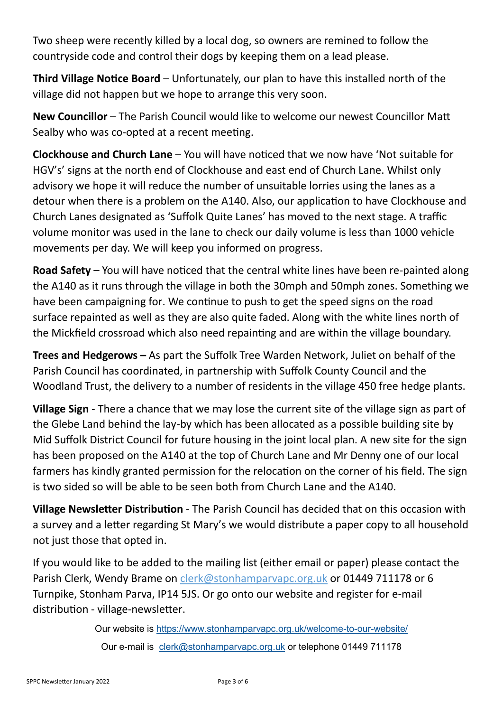Two sheep were recently killed by a local dog, so owners are remined to follow the countryside code and control their dogs by keeping them on a lead please.

**Third Village Notice Board** – Unfortunately, our plan to have this installed north of the village did not happen but we hope to arrange this very soon.

**New Councillor** – The Parish Council would like to welcome our newest Councillor Matt Sealby who was co-opted at a recent meeting.

**Clockhouse and Church Lane** – You will have noticed that we now have 'Not suitable for HGV's' signs at the north end of Clockhouse and east end of Church Lane. Whilst only advisory we hope it will reduce the number of unsuitable lorries using the lanes as a detour when there is a problem on the A140. Also, our application to have Clockhouse and Church Lanes designated as 'Suffolk Quite Lanes' has moved to the next stage. A traffic volume monitor was used in the lane to check our daily volume is less than 1000 vehicle movements per day. We will keep you informed on progress.

**Road Safety** – You will have noticed that the central white lines have been re-painted along the A140 as it runs through the village in both the 30mph and 50mph zones. Something we have been campaigning for. We continue to push to get the speed signs on the road surface repainted as well as they are also quite faded. Along with the white lines north of the Mickfield crossroad which also need repainting and are within the village boundary.

**Trees and Hedgerows –** As part the Suffolk Tree Warden Network, Juliet on behalf of the Parish Council has coordinated, in partnership with Suffolk County Council and the Woodland Trust, the delivery to a number of residents in the village 450 free hedge plants.

**Village Sign** - There a chance that we may lose the current site of the village sign as part of the Glebe Land behind the lay-by which has been allocated as a possible building site by Mid Suffolk District Council for future housing in the joint local plan. A new site for the sign has been proposed on the A140 at the top of Church Lane and Mr Denny one of our local farmers has kindly granted permission for the relocation on the corner of his field. The sign is two sided so will be able to be seen both from Church Lane and the A140.

**Village Newsletter Distribution** - The Parish Council has decided that on this occasion with a survey and a letter regarding St Mary's we would distribute a paper copy to all household not just those that opted in.

If you would like to be added to the mailing list (either email or paper) please contact the Parish Clerk, Wendy Brame on clerk@stonhamparvapc.org.uk or 01449 711178 or 6 Turnpike, Stonham Parva, IP14 5JS. Or go onto our website and register for e-mail distribution - village-newsletter.

> Our website is [https://www.stonhamparvapc.org.uk/welcome](https://www.stonhamparvapc.org.uk/welcome-to-our-website/)-to-our-website/ Our e-mail is [clerk@stonhamparvapc.org.uk](mailto:clerk@stonhamparvapc.org.uk) or telephone 01449 711178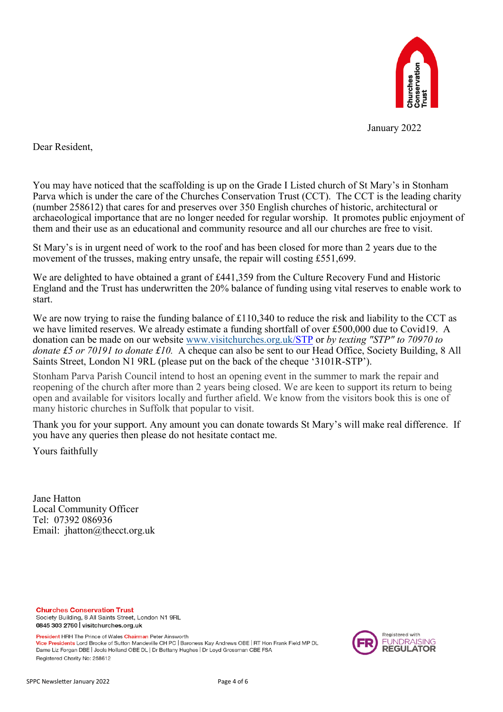

January 2022

Dear Resident,

You may have noticed that the scaffolding is up on the Grade I Listed church of St Mary's in Stonham Parva which is under the care of the Churches Conservation Trust (CCT). The CCT is the leading charity (number 258612) that cares for and preserves over 350 English churches of historic, architectural or archaeological importance that are no longer needed for regular worship. It promotes public enjoyment of them and their use as an educational and community resource and all our churches are free to visit.

St Mary's is in urgent need of work to the roof and has been closed for more than 2 years due to the movement of the trusses, making entry unsafe, the repair will costing £551,699.

We are delighted to have obtained a grant of £441,359 from the Culture Recovery Fund and Historic England and the Trust has underwritten the 20% balance of funding using vital reserves to enable work to start.

We are now trying to raise the funding balance of £110,340 to reduce the risk and liability to the CCT as we have limited reserves. We already estimate a funding shortfall of over £500,000 due to Covid19. A donation can be made on our website [www.visitchurches.org.uk/S](http://www.visitchurches.org.uk)TP or *by texting "STP" to 70970 to donate £5 or 70191 to donate £10.* A cheque can also be sent to our Head Office, Society Building, 8 All Saints Street, London N1 9RL (please put on the back of the cheque '3101R-STP').

Stonham Parva Parish Council intend to host an opening event in the summer to mark the repair and reopening of the church after more than 2 years being closed. We are keen to support its return to being open and available for visitors locally and further afield. We know from the visitors book this is one of many historic churches in Suffolk that popular to visit.

Thank you for your support. Any amount you can donate towards St Mary's will make real difference. If you have any queries then please do not hesitate contact me.

Yours faithfully

Jane Hatton Local Community Officer Tel: 07392 086936 Email: jhatton@thecct.org.uk

**Churches Conservation Trust** Society Building, 8 All Saints Street, London N1 9RL 0845 303 2760 visitchurches.org.uk

President HRH The Prince of Wales Chairman Peter Ainsworth Vice Presidents Lord Brooke of Sutton Mandeville CH PC | Baroness Kay Andrews OBE | RT Hon Frank Field MP DL Dame Liz Forgan DBE | Jools Holland OBE DL | Dr Bettany Hughes | Dr Loyd Grossman CBE FSA Registered Charity No: 258612

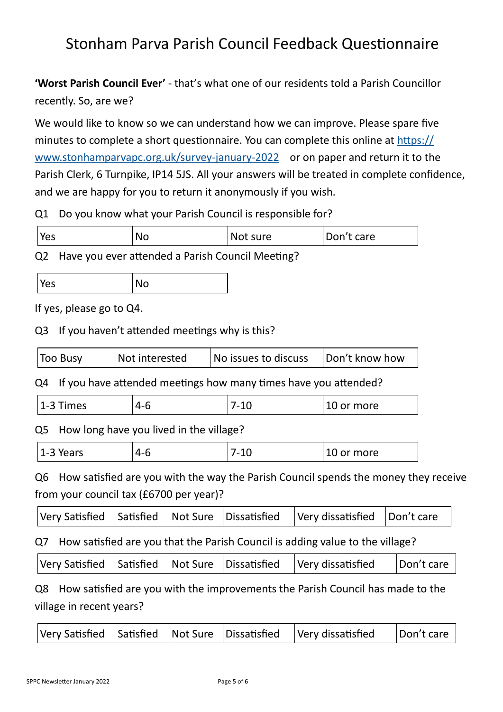## Stonham Parva Parish Council Feedback Questionnaire

**'Worst Parish Council Ever'** - that's what one of our residents told a Parish Councillor recently. So, are we?

We would like to know so we can understand how we can improve. Please spare five minutes to complete a short questionnaire. You can complete this online at [https://](https://www.stonhamparvapc.org.uk/survey-january-2022?stage=Stage) [www.stonhamparvapc.org.uk/survey](https://www.stonhamparvapc.org.uk/survey-january-2022?stage=Stage)-january-2022 or on paper and return it to the Parish Clerk, 6 Turnpike, IP14 5JS. All your answers will be treated in complete confidence, and we are happy for you to return it anonymously if you wish.

Q1 Do you know what your Parish Council is responsible for?

| Yes<br>ΝC | Not sure | Don'<br>care : |
|-----------|----------|----------------|
|-----------|----------|----------------|

Q2 Have you ever attended a Parish Council Meeting?

| Yes | <b>No</b> |
|-----|-----------|
|-----|-----------|

If yes, please go to Q4.

Q3 If you haven't attended meetings why is this?

| Not interested<br>No issues to discuss<br>Too Busy<br>Don't know how |  |
|----------------------------------------------------------------------|--|
|----------------------------------------------------------------------|--|

Q4 If you have attended meetings how many times have you attended?

| $\overline{14}$<br>∍<br>◢<br>`imes<br>4-h<br>.<br>-<br>∸ | more<br>м<br>⊥∪ |
|----------------------------------------------------------|-----------------|
|----------------------------------------------------------|-----------------|

Q5 How long have you lived in the village?

| $\overline{\phantom{a}}$<br>4-6<br>'ears<br>. – *<br><b>.</b><br>$\tilde{\phantom{a}}$ | $\overline{ }$<br>_<br>. .<br>⊥∪ | more<br>.<br>vı |
|----------------------------------------------------------------------------------------|----------------------------------|-----------------|
|----------------------------------------------------------------------------------------|----------------------------------|-----------------|

Q6 How satisfied are you with the way the Parish Council spends the money they receive from your council tax (£6700 per year)?

|  |  |  |  |  | $ V$ ery Satisfied Satisfied   Not Sure   Dissatisfied   Very dissatisfied   Don't care |  |
|--|--|--|--|--|-----------------------------------------------------------------------------------------|--|
|--|--|--|--|--|-----------------------------------------------------------------------------------------|--|

Q7 How satisfied are you that the Parish Council is adding value to the village?

| $ V$ ery Satisfied $ S$ atisfied $ Not S$ ure $ D$ issatisfied $ V$ ery dissatisfied |  |  | '   Don't care |
|--------------------------------------------------------------------------------------|--|--|----------------|
|--------------------------------------------------------------------------------------|--|--|----------------|

Q8 How satisfied are you with the improvements the Parish Council has made to the village in recent years?

| Very Satisfied   Satisfied   Not Sure   Dissatisfied   Very dissatisfied | Don't care |
|--------------------------------------------------------------------------|------------|
|--------------------------------------------------------------------------|------------|